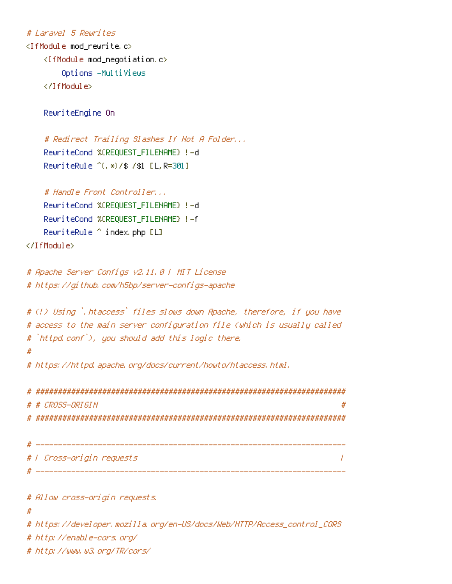# # Laravel 5 Rewrites

<IfModule mod\_rewrite.c> <IfModule mod\_negotiation.c> Options -MultiViews </IfModule>

RewriteEngine On

# Redirect Trailing Slashes If Not A Folder... RewriteCond %{REQUEST\_FILENAME} !-d RewriteRule ^(.\*)/\$ /\$1 [L,R=301]

# Handle Front Controller... RewriteCond %{REQUEST\_FILENAME} !-d RewriteCond %{REQUEST\_FILENAME} !-f RewriteRule ^ index.php [L] </IfModule>

```
# Apache Server Configs v2.11.0 | MIT License
# https://github.com/h5bp/server-configs-apache
```

```
# (!) Using `.htaccess` files slows down Apache, therefore, if you have
# access to the main server configuration file (which is usually called
# `httpd.conf`), you should add this logic there.
#
```
# https://httpd.apache.org/docs/current/howto/htaccess.html.

| # |                           |  |
|---|---------------------------|--|
|   | # # CROSS-ORIGIN          |  |
|   |                           |  |
|   | #   Cross-origin requests |  |

# Allow cross-origin requests.

#

```
# https://developer.mozilla.org/en-US/docs/Web/HTTP/Access_control_CORS
```
# http://enable-cors.org/

# http://www.w3.org/TR/cors/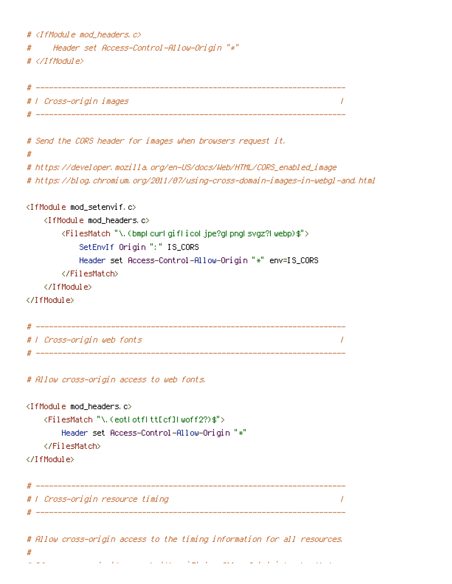```
# \langleIfModule mod headers, c\rangle# Header set Access-Control-Allow-Origin "*"
# </IfModule>
# ----------------------------------------------------------------------
# | Cross-origin images |
 # ----------------------------------------------------------------------
# Send the CORS header for images when browsers request it.
#
# https://developer.mozilla.org/en-US/docs/Web/HTML/CORS_enabled_image
# https://blog.chromium.org/2011/07/using-cross-domain-images-in-webgl-and.html
<IfModule mod_setenvif.c>
   <IfModule mod_headers.c>
       <FilesMatch "\.(bmp|cur|gif|ico|jpe?g|png|svgz?|webp)$">
           SetEnvIf Origin ":" IS_CORS
           Header set Access-Control-Allow-Origin "*" env=IS_CORS
       </FilesMatch>
   </IfModule>
</IfModule>
# ----------------------------------------------------------------------
# | Cross-origin web fonts |
# ----------------------------------------------------------------------
# Allow cross-origin access to web fonts.
<IfModule mod_headers.c>
   <FilesMatch "\.(eot|otf|tt[cf]|woff2?)$">
       Header set Access-Control-Allow-Origin "*"
   </FilesMatch>
</IfModule>
# ----------------------------------------------------------------------
# | Cross-origin resource timing |
# ----------------------------------------------------------------------
# Allow cross-origin access to the timing information for all resources.
```
 $\mathcal{A}$  is a resource is not served with a resource is not served with a  $\mathcal{A}$  header that  $\mathcal{A}$ 

#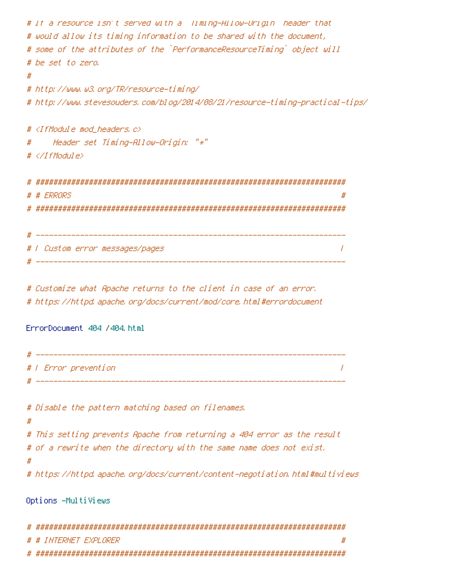```
# If a resource isn't served with a `Timing-Allow-Origin` header that
# would allow its timing information to be shared with the document,
# some of the attributes of the `PerformanceResourceTiming` object will
# be set to zero.
#
# http://www.w3.org/TR/resource-timing/
# http://www.stevesouders.com/blog/2014/08/21/resource-timing-practical-tips/
# <IfModule mod_headers.c>
# Header set Timing-Allow-Origin: "*"
# </IfModule>
# ######################################################################
 # # ERRORS #
# ######################################################################
 # ----------------------------------------------------------------------
# | Custom error messages/pages |
# ----------------------------------------------------------------------
# Customize what Apache returns to the client in case of an error.
# https://httpd.apache.org/docs/current/mod/core.html#errordocument
ErrorDocument 404 /404.html
 # ----------------------------------------------------------------------
# | Error prevention |
 # ----------------------------------------------------------------------
```
# Disable the pattern matching based on filenames.

```
#
# This setting prevents Apache from returning a 404 error as the result
# of a rewrite when the directory with the same name does not exist.
#
# https://httpd.apache.org/docs/current/content-negotiation.html#multiviews
```
#### Options -MultiViews

| #<br># # INTERNET EXPLORER |
|----------------------------|
|                            |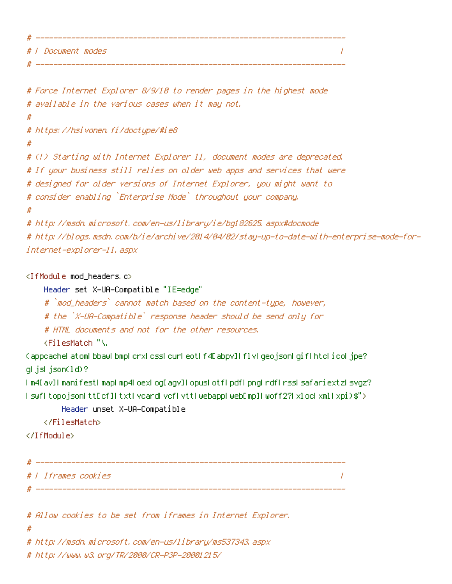| #  |                           |  |
|----|---------------------------|--|
|    | # <i>I Document modes</i> |  |
| -4 |                           |  |

```
# Force Internet Explorer 8/9/10 to render pages in the highest mode
# available in the various cases when it may not.
#
# https://hsivonen.fi/doctype/#ie8
#
# (!) Starting with Internet Explorer 11, document modes are deprecated.
# If your business still relies on older web apps and services that were
# designed for older versions of Internet Explorer, you might want to
# consider enabling `Enterprise Mode` throughout your company.
#
# http://msdn.microsoft.com/en-us/library/ie/bg182625.aspx#docmode
# http://blogs.msdn.com/b/ie/archive/2014/04/02/stay-up-to-date-with-enterprise-mode-for-
internet-explorer-11.aspx
```

```
<IfModule mod_headers.c>
```
Header set X-UA-Compatible "IE=edge"

# `mod\_headers` cannot match based on the content-type, however,

# the `X-UA-Compatible` response header should be send only for

# HTML documents and not for the other resources.

<FilesMatch "\.

(appcache|atom|bbaw|bmp|crx|css|cur|eot|f4[abpv]|flv|geojson|gif|htc|ico|jpe? g|js|json(ld)?

```
|m4[av]|manifest|map|mp4|oex|og[agv]|opus|otf|pdf|png|rdf|rss|safariextz|svgz?
|swf|topojson|tt[cf]|txt|vcard|vcf|vtt|webapp|web[mp]|woff2?|xloc|xml|xpi)$">
```

```
Header unset X-UA-Compatible
```
</FilesMatch>

```
</IfModule>
```

| Н |                         |  |
|---|-------------------------|--|
|   | #   Iframes cookies     |  |
|   | _______________________ |  |

```
# Allow cookies to be set from iframes in Internet Explorer.
```

```
#
```
# http://msdn.microsoft.com/en-us/library/ms537343.aspx

# http://www.w3.org/TR/2000/CR-P3P-20001215/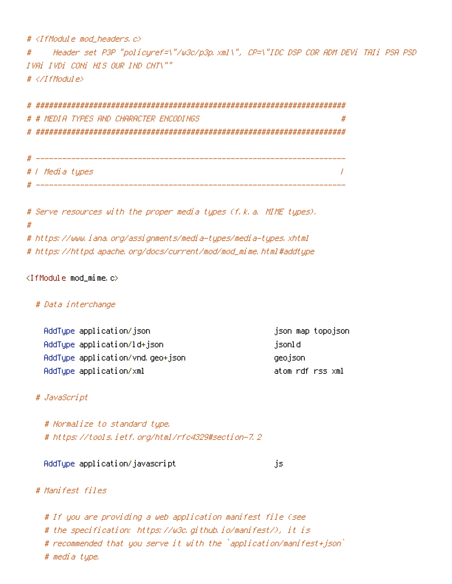# <IfModule mod\_headers.c>

# Header set P3P "policyref=\"/w3c/p3p.xml\", CP=\"IDC DSP COR ADM DEVi TAIi PSA PSD IVAi IVDi CONi HIS OUR IND CNT\"" # </IfModule>

# ###################################################################### # # MEDIA TYPES AND CHARACTER ENCODINGS # # ######################################################################

| #                      | _____                     |
|------------------------|---------------------------|
|                        | # / Media types           |
| $^{\prime\prime}$<br>л | _________________________ |

# Serve resources with the proper media types (f.k.a. MIME types). # # https://www.iana.org/assignments/media-types/media-types.xhtml # https://httpd.apache.org/docs/current/mod/mod\_mime.html#addtype

 $\langle$ IfModule mod mime.c $\rangle$ 

# # Data interchange

| AddType application/json         | json map topojson |  |
|----------------------------------|-------------------|--|
| AddType application/ld+json      | jsonld            |  |
| AddType application/vnd.geo+json | geojson           |  |
| AddType application/xml          | atom rdf rss xml  |  |

# # JavaScript

# Normalize to standard type. # https://tools.ietf.org/html/rfc4329#section-7.2

#### AddType application/javascript is a settle state of  $\mathfrak{g}_5$

# # Manifest files

# If you are providing <sup>a</sup> web application manifest file (see # the specification: https://w3c.github.io/manifest/), it is # recommended that you serve it with the `application/manifest+json` # media type.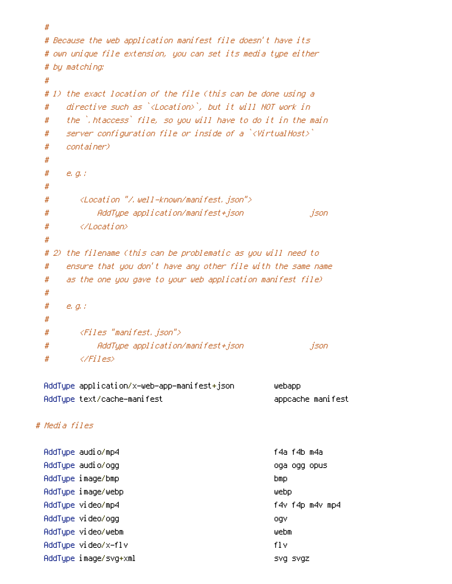```
#
 # Because the web application manifest file doesn't have its
 # own unique file extension, you can set its media type either
 # by matching:
 #
 # 1) the exact location of the file (this can be done using a
 # directive such as `<Location>`, but it will NOT work in
 # the `.htaccess` file, so you will have to do it in the main
 # server configuration file or inside of a `<VirtualHost>`
 # container)
 #
 # e.g.:
 #
 # <Location "/.well-known/manifest.json">
 # AddType application/manifest+json json
 # </Location>
 #
 # 2) the filename (this can be problematic as you will need to
 # ensure that you don't have any other file with the same name
 # as the one you gave to your web application manifest file)
 #
 # e.g.:
 #
 # <Files "manifest.json">
 # AddType application/manifest+json json
 # </Files>
 AddType application/x-web-app-manifest+json webapp
 AddType text/cache-manifest appcache manifest
# Media files
 AddType audio/mp4 f4a f4b m4a
 AddType audio/ogg oga ogg opus
 AddType image/bmp bmp
 AddType image/webp webp
 AddType video/mp4 f4v f4p m4v mp4
 AddType video/ogg ogv
```
- AddType video/webm webm AddType video/x-flv flv
- AddType image/svg+xml svg svgz svgz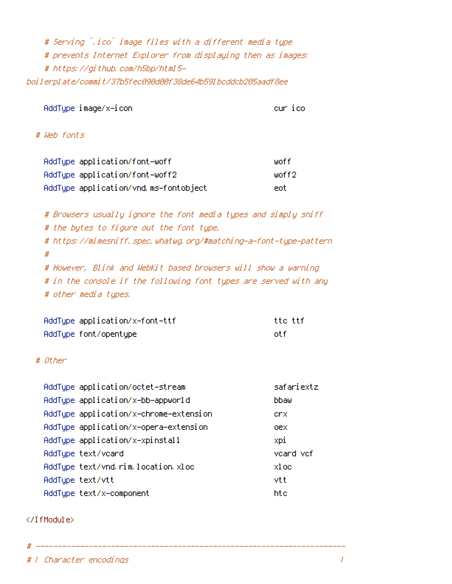# Serving `.ico` image files with <sup>a</sup> different media type # prevents Internet Explorer from displaying then as images: # https://github.com/h5bp/html5 boilerplate/commit/37b5fec090d00f38de64b591bcddcb205aadf8ee

AddType image/x-icon cur icon cur icon cur icon cur icon cur icon cur icon cur icon cur icon cur icon cur icon

# # Web fonts

| AddType application/font-woff         | liinf f |
|---------------------------------------|---------|
| AddType application/font-woff2        | unff2.  |
| AddType application/vnd.ms-fontobject | eot     |

# Browsers usually ignore the font media types and simply sniff # the bytes to figure out the font type. # https://mimesniff.spec.whatwg.org/#matching-a-font-type-pattern # # However, Blink and WebKit based browsers will show <sup>a</sup> warning # in the console if the following font types are served with any # other media types.

| AddTupe application/x-font-ttf | tte ttf |
|--------------------------------|---------|
| AddType font/opentype          | nt f    |

#### # *Other*

| AddType application/octet-stream       | safariextz |
|----------------------------------------|------------|
| AddTupe application/x-bb-appworld      | bbaw       |
| AddType application/x-chrome-extension | crx        |
| AddType application/x-opera-extension  | oex        |
| AddType application/x-xpinstall        | xpi        |
| AddType text/vcard                     | vcard vcf  |
| AddType text/vnd.rim.location.xloc     | xl oc      |
| AddType text/vtt                       | vtt        |
| AddType text/x-component               | htc        |

# ----------------------------------------------------------------------

#### </IfModule>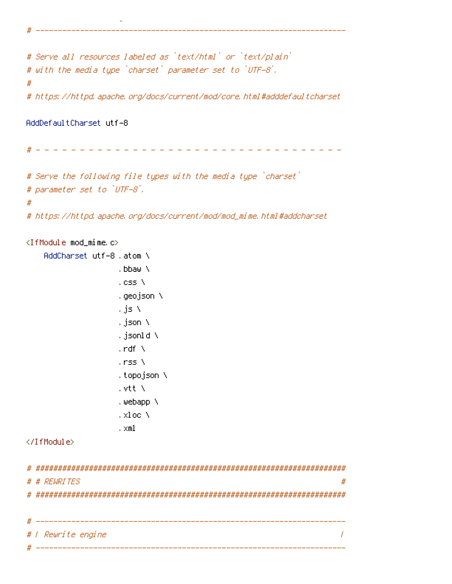```
# Serve all resources labeled as `text/html` or `text/plain`
# with the media type `charset` parameter set to `UTF-8`.
#
# https://httpd.apache.org/docs/current/mod/core.html#adddefaultcharset
```
 $\mathcal{L}^{\text{max}}_{\text{max}}$  and  $\mathcal{L}^{\text{max}}_{\text{max}}$  and  $\mathcal{L}^{\text{max}}_{\text{max}}$  and  $\mathcal{L}^{\text{max}}_{\text{max}}$ # ----------------------------------------------------------------------

AddDefaultCharset utf-8

# - - - - - - - - - - - - - - - - - - - - - - - - - - - - - - - - - - -

# Serve the following file types with the media type `charset` # parameter set to `UTF-8`. #

# https://httpd.apache.org/docs/current/mod/mod\_mime.html#addcharset

```
<IfModule mod_mime.c>
   AddCharset utf-8 .atom \
                  .bbaw \
                  . css \lambda.geojson \
                  .js \
                  .json \
                  .jsonld \
                  . rdf \Delta.rss \
                  .topojson \
                  .vtt \
                  .webapp \
                  .xloc \
                   .xml
</IfModule>
# ######################################################################
# # REWRITES #
# ######################################################################
```

| # |                                   |
|---|-----------------------------------|
|   | # <i>I Rewrite engine</i>         |
| # | _________________________________ |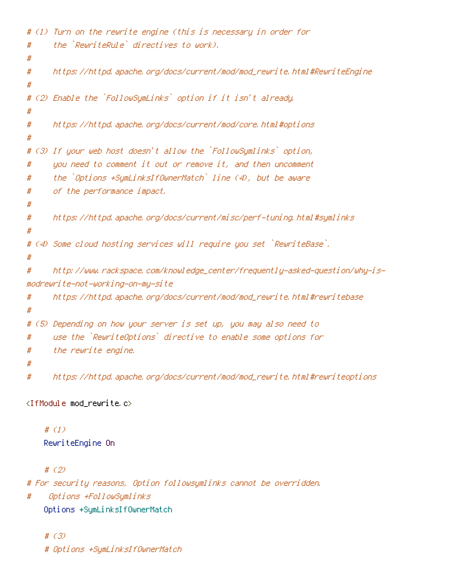```
# (1) Turn on the rewrite engine (this is necessary in order for
# the `RewriteRule` directives to work).
#
# https://httpd.apache.org/docs/current/mod/mod_rewrite.html#RewriteEngine
#
# (2) Enable the `FollowSymLinks` option if it isn't already.
#
# https://httpd.apache.org/docs/current/mod/core.html#options
#
# (3) If your web host doesn't allow the `FollowSymlinks` option,
# you need to comment it out or remove it, and then uncomment
# the `Options +SymLinksIfOwnerMatch` line (4), but be aware
# of the performance impact.
#
# https://httpd.apache.org/docs/current/misc/perf-tuning.html#symlinks
#
# (4) Some cloud hosting services will require you set `RewriteBase`.
#
# http://www.rackspace.com/knowledge_center/frequently-asked-question/why-is-
modrewrite-not-working-on-my-site
# https://httpd.apache.org/docs/current/mod/mod_rewrite.html#rewritebase
#
# (5) Depending on how your server is set up, you may also need to
# use the `RewriteOptions` directive to enable some options for
# the rewrite engine.
#
# https://httpd.apache.org/docs/current/mod/mod_rewrite.html#rewriteoptions
```

```
<IfModule mod_rewrite.c>
```
# (1) RewriteEngine On

# (2)

# For security reasons, Option followsymlinks cannot be overridden.

# Options +FollowSymlinks

Options +SymLinksIfOwnerMatch

# (3) # Options +SymLinksIfOwnerMatch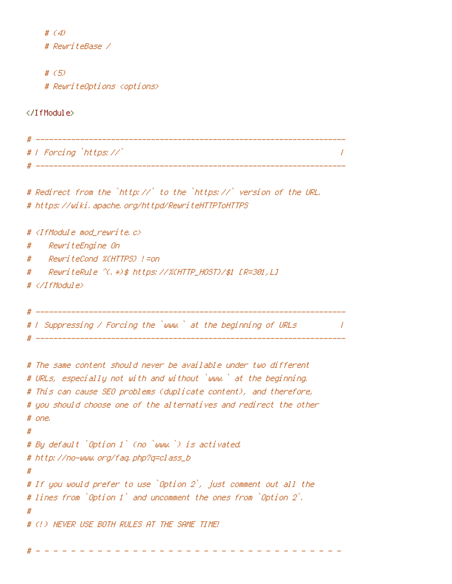# (4) # RewriteBase / # (5) # RewriteOptions <options> </IfModule> # ---------------------------------------------------------------------- # <sup>|</sup> Forcing `https://` <sup>|</sup> # ---------------------------------------------------------------------- # Redirect from the `http://` to the `https://` version of the URL. # https://wiki.apache.org/httpd/RewriteHTTPToHTTPS #  $\triangleleft$  fModule mod rewrite.c> # RewriteEngine On # RewriteCond %{HTTPS} !=on # RewriteRule ^(.\*)\$ https://%{HTTP\_HOST}/\$1 [R=301,L] # </IfModule> # ---------------------------------------------------------------------- # <sup>|</sup> Suppressing / Forcing the `www.` at the beginning of URLs <sup>|</sup>  $\#$  -----------# The same content should never be available under two different # URLs, especially not with and without `www.` at the beginning. # This can cause SEO problems (duplicate content), and therefore, # you should choose one of the alternatives and redirect the other # one. # # By default `Option <sup>1</sup>` (no `www.`) is activated. # http://no-www.org/faq.php?q=class\_b # # If you would prefer to use `Option <sup>2</sup>`, just comment out all the # lines from `Option <sup>1</sup>` and uncomment the ones from `Option <sup>2</sup>`. # # (!) NEVER USE BOTH RULES AT THE SAME TIME!

# - - - - - - - - - - - - - - - - - - - - - - - - - - - - - - - - - - -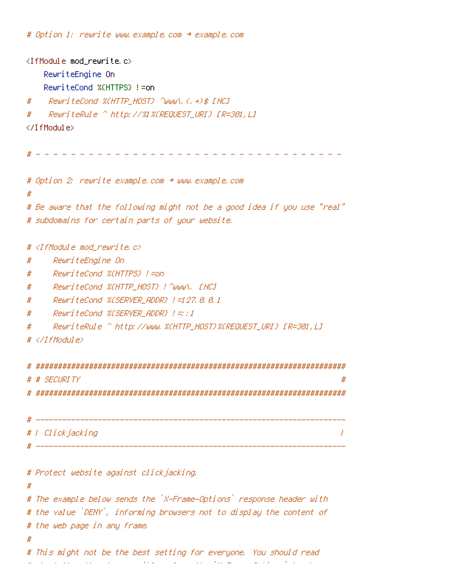# Option 1: rewrite www.example.com <sup>→</sup> example.com

```
<IfModule mod_rewrite.c>
   RewriteEngine On
   RewriteCond %{HTTPS} !=on
# RewriteCond %{HTTP_HOST} ^www\.(.+)$ [NC]
# RewriteRule ^ http://%1%{REQUEST_URI} [R=301,L]
</IfModule>
 # - - - - - - - - - - - - - - - - - - - - - - - - - - - - - - - - - - -
# Option 2: rewrite example.com → www.example.com
#
# Be aware that the following might not be a good idea if you use "real"
# subdomains for certain parts of your website.
# <IfModule mod_rewrite.c>
# RewriteEngine On
# RewriteCond %{HTTPS} !=on
# RewriteCond %{HTTP_HOST} !^www\. [NC]
# RewriteCond %{SERVER_ADDR} !=127.0.0.1
# RewriteCond %{SERVER_ADDR} !=::1
# RewriteRule ^ http://www.%{HTTP_HOST}%{REQUEST_URI} [R=301,L]
# </IfModule>
# ######################################################################
# # SECURITY #
# ######################################################################
 # ----------------------------------------------------------------------
# | Clickjacking |
# ----------------------------------------------------------------------
# Protect website against clickjacking.
#
# The example below sends the `X-Frame-Options` response header with
# the value `DENY`, informing browsers not to display the content of
# the web page in any frame.
#
# This might not be the best setting for everyone. You should read
# about the other two possible values the `X-Frame-Options` header
```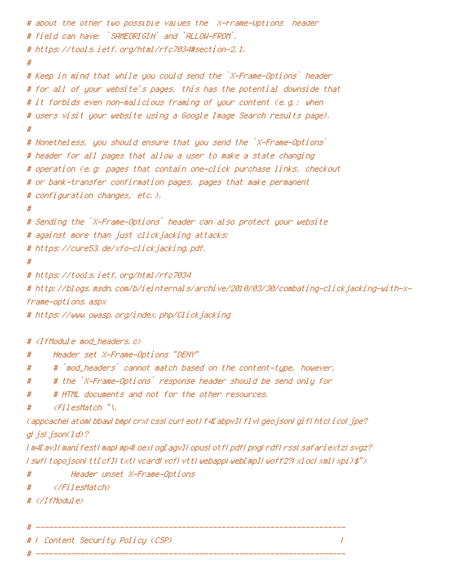```
# about the other two possible values the `X-Frame-Options` header
# field can have: `SAMEORIGIN` and `ALLOW-FROM`.
# https://tools.ietf.org/html/rfc7034#section-2.1.
#
# Keep in mind that while you could send the `X-Frame-Options` header
# for all of your website's pages, this has the potential downside that
# it forbids even non-malicious framing of your content (e.g.: when
# users visit your website using a Google Image Search results page).
#
# Nonetheless, you should ensure that you send the `X-Frame-Options`
# header for all pages that allow a user to make a state changing
# operation (e.g: pages that contain one-click purchase links, checkout
# or bank-transfer confirmation pages, pages that make permanent
# configuration changes, etc.).
#
# Sending the `X-Frame-Options` header can also protect your website
# against more than just clickjacking attacks:
# https://cure53.de/xfo-clickjacking.pdf.
#
# https://tools.ietf.org/html/rfc7034
# http://blogs.msdn.com/b/ieinternals/archive/2010/03/30/combating-clickjacking-with-x-
frame-options.aspx
# https://www.owasp.org/index.php/Clickjacking
# <IfModule mod_headers.c>
# Header set X-Frame-Options "DENY"
# # `mod_headers` cannot match based on the content-type, however,
# # the `X-Frame-Options` response header should be send only for
# # HTML documents and not for the other resources.
# <FilesMatch "\.
(appcache|atom|bbaw|bmp|crx|css|cur|eot|f4[abpv]|flv|geojson|gif|htc|ico|jpe?
gl jsl json(ld)?
|m4[av]|manifest|map|mp4|oex|og[agv]|opus|otf|pdf|png|rdf|rss|safariextz|svgz?
|swf|topojson|tt[cf]|txt|vcard|vcf|vtt|webapp|web[mp]|woff2?|xloc|xml|xpi)$">
# Header unset X-Frame-Options
# </FilesMatch>
# </IfModule>
```
# ---------------------------------------------------------------------- # | Content Security Policy (CSP) | # ----------------------------------------------------------------------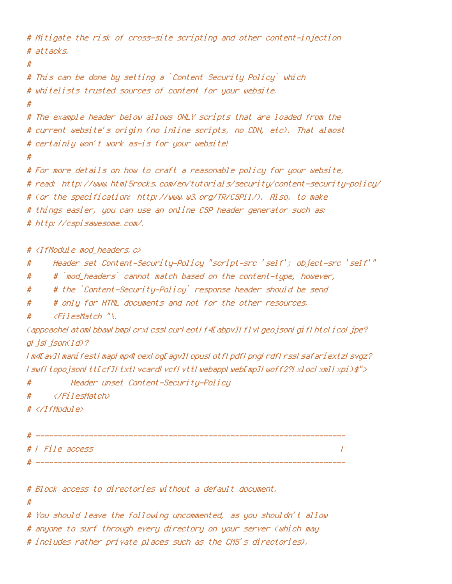```
# Mitigate the risk of cross-site scripting and other content-injection
# attacks.
#
# This can be done by setting a `Content Security Policy` which
# whitelists trusted sources of content for your website.
#
# The example header below allows ONLY scripts that are loaded from the
# current website's origin (no inline scripts, no CDN, etc). That almost
# certainly won't work as-is for your website!
#
# For more details on how to craft a reasonable policy for your website,
# read: http://www.html5rocks.com/en/tutorials/security/content-security-policy/
# (or the specification: http://www.w3.org/TR/CSP11/). Also, to make
# things easier, you can use an online CSP header generator such as:
# http://cspisawesome.com/.
# <IfModule mod_headers.c>
# Header set Content-Security-Policy "script-src 'self'; object-src 'self'"
# # `mod_headers` cannot match based on the content-type, however,
# # the `Content-Security-Policy` response header should be send
# # only for HTML documents and not for the other resources.
# <FilesMatch "\.
(appcache|atom|bbaw|bmp|crx|css|cur|eot|f4[abpv]|flv|geojson|gif|htc|ico|jpe?
gl jsl json(1d)?
|m4[av]|manifest|map|mp4|oex|og[agv]|opus|otf|pdf|png|rdf|rss|safariextz|svgz?
|swf|topojson|tt[cf]|txt|vcard|vcf|vtt|webapp|web[mp]|woff2?|xloc|xml|xpi)$">
# Header unset Content-Security-Policy
# </FilesMatch>
# </IfModule>
 # ----------------------------------------------------------------------
# | File access |
# ----------------------------------------------------------------------
# Block access to directories without a default document.
#
```
# You should leave the following uncommented, as you shouldn't allow

# anyone to surf through every directory on your server (which may

# includes rather private places such as the CMS's directories).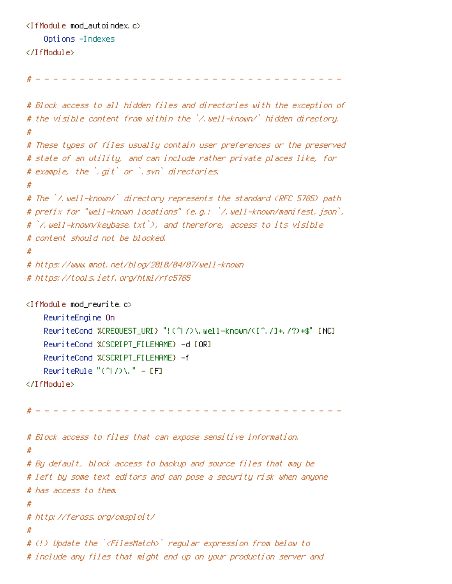```
<IfModule mod_autoindex.c>
    Options -Indexes
</IfModule>
```
# - - - - - - - - - - - - - - - - - - - - - - - - - - - - - - - - - - -

```
# Block access to all hidden files and directories with the exception of
# the visible content from within the `/.well-known/` hidden directory.
#
# These types of files usually contain user preferences or the preserved
# state of an utility, and can include rather private places like, for
# example, the `.git` or `.svn` directories.
#
# The `/.well-known/` directory represents the standard (RFC 5785) path
# prefix for "well-known locations" (e.g.: `/.well-known/manifest.json`,
# `/.well-known/keybase.txt`), and therefore, access to its visible
# content should not be blocked.
#
# https://www.mnot.net/blog/2010/04/07/well-known
# https://tools.ietf.org/html/rfc5785
<IfModule mod_rewrite.c>
    RewriteEngine On
    RewriteCond %{REQUEST_URI} "!(^|/)\.well-known/([^./]+./?)+$" [NC]
    RewriteCond %{SCRIPT_FILENAME} -d [OR]
    RewriteCond %{SCRIPT_FILENAME} -f
    RewriteRule "(\hat{ }')/\hat{ }." - [F]
</IfModule>
# - - - - - - - - - - - - - - - - - - - - - - - - - - - - - - - - - - -
# Block access to files that can expose sensitive information.
#
# By default, block access to backup and source files that may be
# left by some text editors and can pose a security risk when anyone
# has access to them.
#
# http://feross.org/cmsploit/
#
# (!) Update the `<FilesMatch>` regular expression from below to
# include any files that might end up on your production server and
```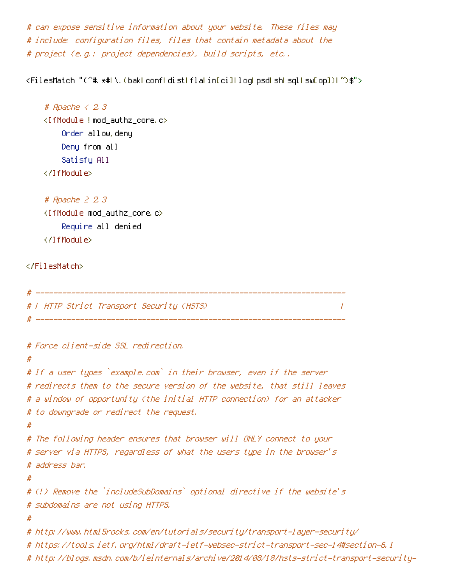# can expose sensitive information about your website. These files may # include: configuration files, files that contain metadata about the # project (e.g.: project dependencies), build scripts, etc..

<FilesMatch "(^#.\*#|\.(bak|conf|dist|fla|in[ci]|log|psd|sh|sql|sw[op])|~)\$">

```
# Apache < 2.3
<IfModule !mod_authz_core.c>
    Order allow,deny
    Deny from all
    Satisfy All
</IfModule>
```

```
# Apache ≥ 2.3
<IfModule mod_authz_core.c>
    Require all denied
</IfModule>
```
#### </FilesMatch>

```
# ----------------------------------------------------------------------
# | HTTP Strict Transport Security (HSTS) |
# ----------------------------------------------------------------------
# Force client-side SSL redirection.
#
# If a user types `example.com` in their browser, even if the server
# redirects them to the secure version of the website, that still leaves
# a window of opportunity (the initial HTTP connection) for an attacker
# to downgrade or redirect the request.
#
# The following header ensures that browser will ONLY connect to your
# server via HTTPS, regardless of what the users type in the browser's
# address bar.
#
# (!) Remove the `includeSubDomains` optional directive if the website's
# subdomains are not using HTTPS.
#
# http://www.html5rocks.com/en/tutorials/security/transport-layer-security/
# https://tools.ietf.org/html/draft-ietf-websec-strict-transport-sec-14#section-6.1
# http://blogs.msdn.com/b/ieinternals/archive/2014/08/18/hsts-strict-transport-security-
```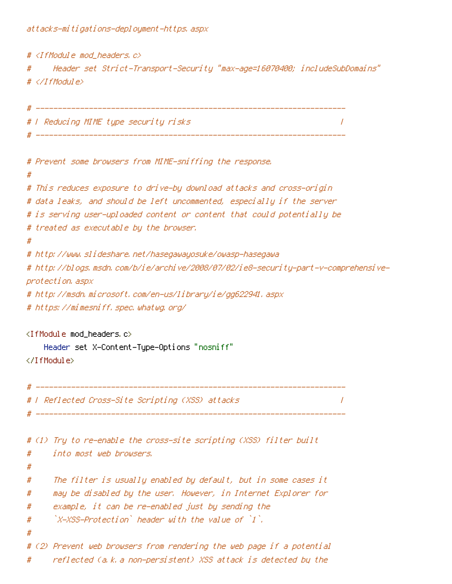attacks-mitigations-deployment-https.aspx

# <IfModule mod\_headers.c> # Header set Strict-Transport-Security "max-age=16070400; includeSubDomains" # </IfModule> # ---------------------------------------------------------------------- # | Reducing MIME type security risks | # ---------------------------------------------------------------------- # Prevent some browsers from MIME-sniffing the response. # # This reduces exposure to drive-by download attacks and cross-origin # data leaks, and should be left uncommented, especially if the server # is serving user-uploaded content or content that could potentially be # treated as executable by the browser. # # http://www.slideshare.net/hasegawayosuke/owasp-hasegawa # http://blogs.msdn.com/b/ie/archive/2008/07/02/ie8-security-part-v-comprehensiveprotection.aspx # http://msdn.microsoft.com/en-us/library/ie/gg622941.aspx # https://mimesniff.spec.whatwg.org/ <IfModule mod\_headers.c> Header set X-Content-Type-Options "nosniff" </IfModule> # ---------------------------------------------------------------------- # | Reflected Cross-Site Scripting (XSS) attacks | # ----------------------------------------------------------------------

# (1) Try to re-enable the cross-site scripting (XSS) filter built # into most web browsers. # # The filter is usually enabled by default, but in some cases it # may be disabled by the user. However, in Internet Explorer for # example, it can be re-enabled just by sending the  $#$   $X-XSS-Protection$  header with the value of  $Y$ . # # (2) Prevent web browsers from rendering the web page if <sup>a</sup> potential # reflected (a.k.a non-persistent) XSS attack is detected by the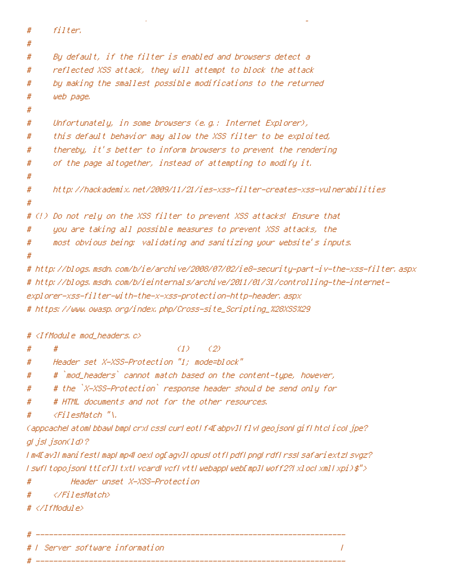```
# filter.
#
# By default, if the filter is enabled and browsers detect a
# reflected XSS attack, they will attempt to block the attack
# by making the smallest possible modifications to the returned
# web page.
#
# Unfortunately, in some browsers (e.g.: Internet Explorer),
# this default behavior may allow the XSS filter to be exploited,
# thereby, it's better to inform browsers to prevent the rendering
# of the page altogether, instead of attempting to modify it.
#
# http://hackademix.net/2009/11/21/ies-xss-filter-creates-xss-vulnerabilities
#
# (!) Do not rely on the XSS filter to prevent XSS attacks! Ensure that
# you are taking all possible measures to prevent XSS attacks, the
# most obvious being: validating and sanitizing your website's inputs.
#
# http://blogs.msdn.com/b/ie/archive/2008/07/02/ie8-security-part-iv-the-xss-filter.aspx
# http://blogs.msdn.com/b/ieinternals/archive/2011/01/31/controlling-the-internet-
```
# reflected (a.k.a non-persistent) XSS attack is detected by the

explorer-xss-filter-with-the-x-xss-protection-http-header.aspx

```
# https://www.owasp.org/index.php/Cross-site_Scripting_%28XSS%29
```

```
# <IfModule mod_headers.c>
```
 $#$   $#$  (1) (2)

```
# Header set X-XSS-Protection "1; mode=block"
```

```
# # `mod_headers` cannot match based on the content-type, however,
```

```
# # the `X-XSS-Protection` response header should be send only for
```

```
# # HTML documents and not for the other resources.
```

```
# <FilesMatch "\.
```

```
(appcache|atom|bbaw|bmp|crx|css|cur|eot|f4[abpv]|flv|geojson|gif|htc|ico|jpe?
gl jsl json(ld)?
```
|m4[av]|manifest|map|mp4|oex|og[agv]|opus|otf|pdf|png|rdf|rss|safariextz|svgz? |swf|topojson|tt[cf]|txt|vcard|vcf|vtt|webapp|web[mp]|woff2?|xloc|xml|xpi)\$">

```
# Header unset X-XSS-Protection
```

```
# </FilesMatch>
```
# </IfModule>

```
# ----------------------------------------------------------------------
```
# ----------------------------------------------------------------------

. In the server software information  $\qquad \qquad \qquad$  |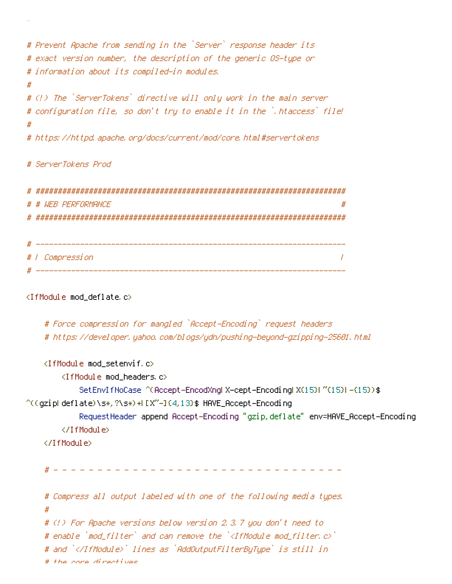```
# Prevent Apache from sending in the `Server` response header its
# exact version number, the description of the generic OS-type or
# information about its compiled-in modules.
#
# (!) The `ServerTokens` directive will only work in the main server
# configuration file, so don't try to enable it in the `.htaccess` file!
#
# https://httpd.apache.org/docs/current/mod/core.html#servertokens
# ServerTokens Prod
# ######################################################################
# # WEB PERFORMANCE #
# ######################################################################
 # ----------------------------------------------------------------------
# | Compression |
```
# ----------------------------------------------------------------------

# <IfModule mod\_deflate.c>

```
# Force compression for mangled `Accept-Encoding` request headers
# https://developer.yahoo.com/blogs/ydn/pushing-beyond-gzipping-25601.html
```

```
<IfModule mod_setenvif.c>
        <IfModule mod_headers.c>
            SetEnvIfNoCase ^(Accept-EncodXng|X-cept-Encoding|X{15}|~{15}|-{15})$
\hat{C}((gzipHdeflate)\s*,?\s*)+H[X~-]{4,13}$ HAVE_Accept-Encoding
            RequestHeader append Accept-Encoding "gzip,deflate" env=HAVE_Accept-Encoding
        </IfModule>
    </IfModule>
      # - - - - - - - - - - - - - - - - - - - - - - - - - - - - - - - - -
```

```
# Compress all output labeled with one of the following media types.
#
# (!) For Apache versions below version 2.3.7 you don't need to
# enable `mod_filter` and can remove the `<IfModule mod_filter.c>`
# and `</IfModule>` lines as `AddOutputFilterByType` is still in
# the core directives.
```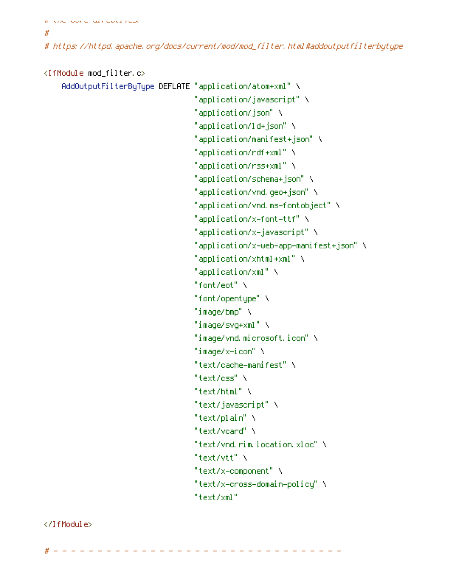# the core directives.

#

# https://httpd.apache.org/docs/current/mod/mod\_filter.html#addoutputfilterbytype

# <IfModule mod\_filter.c>

```
AddOutputFilterByType DEFLATE "application/atom+xml" \
                                   "application/javascript" \
                                   "application/json" \
                                   "application/ld+json" \
                                   "application/manifest+json" \
                                   "application/rdf+xml" \
                                   "application/rss+xml" \
                                   "application/schema+json" \
                                   "application/vnd.geo+json" \
                                   "application/vnd.ms-fontobject" \
                                   "application/x-font-ttf" \
                                   "application/x-javascript" \
                                   "application/x-web-app-manifest+json" \
                                   "application/xhtml+xml" \
                                   "application/xml" \
                                   "font/eot" \lambda"font/opentype" \
                                   "image/bmp" \lambda"image/svg+xml" \
                                   "image/vnd.microsoft.icon" \
                                   "image/x-icon" \
                                   "text/cache-manifest" \
                                   "text/css" \
                                   "text/html" \setminus"text/javascript" \
                                   "text/plain" \
                                   "text/vcard" \
                                   "text/vnd.rim.location.xloc" \
                                   "text/vtt" \lambda"text/x-component" \
                                   "text/x-cross-domain-policy" \
                                   "text/xml"
</IfModule>
```
 $\frac{1}{2}$  - - - - - - - - - - - -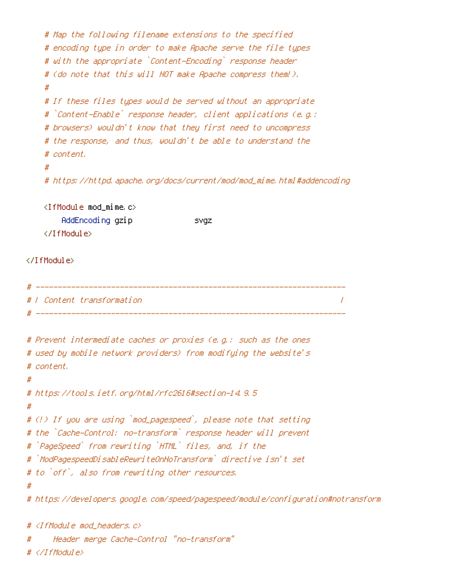```
# Map the following filename extensions to the specified
   # encoding type in order to make Apache serve the file types
   # with the appropriate `Content-Encoding` response header
   # (do note that this will NOT make Apache compress them!).
   #
   # If these files types would be served without an appropriate
   # `Content-Enable` response header, client applications (e.g.:
   # browsers) wouldn't know that they first need to uncompress
   # the response, and thus, wouldn't be able to understand the
   # content.
    #
   # https://httpd.apache.org/docs/current/mod/mod_mime.html#addencoding
   <IfModule mod_mime.c>
       AddEncoding gzip svgz
   </IfModule>
</IfModule>
 # ----------------------------------------------------------------------
# | Content transformation |
 # ----------------------------------------------------------------------
# Prevent intermediate caches or proxies (e.g.: such as the ones
# used by mobile network providers) from modifying the website's
# content.
#
# https://tools.ietf.org/html/rfc2616#section-14.9.5
#
# (!) If you are using `mod_pagespeed`, please note that setting
# the `Cache-Control: no-transform` response header will prevent
# `PageSpeed` from rewriting `HTML` files, and, if the
# `ModPagespeedDisableRewriteOnNoTransform` directive isn't set
# to `off`, also from rewriting other resources.
#
# https://developers.google.com/speed/pagespeed/module/configuration#notransform
# <IfModule mod_headers.c>
```

```
# Header merge Cache-Control "no-transform"
```
# </IfModule>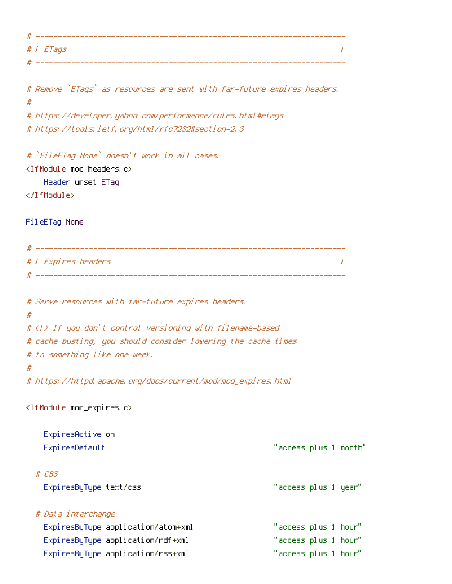| #   |                  |
|-----|------------------|
|     | # <i>I ETags</i> |
| -44 |                  |

# Remove `ETags` as resources are sent with far-future expires headers. # # https://developer.yahoo.com/performance/rules.html#etags # https://tools.ietf.org/html/rfc7232#section-2.3 # `FileETag None` doesn't work in all cases. <IfModule mod\_headers.c> Header unset ETag </IfModule> FileETag None # ---------------------------------------------------------------------- # | Expires headers | # ---------------------------------------------------------------------- # Serve resources with far-future expires headers. # # (!) If you don't control versioning with filename-based # cache busting, you should consider lowering the cache times # to something like one week. # # https://httpd.apache.org/docs/current/mod/mod\_expires.html <IfModule mod\_expires.c> ExpiresActive on ExpiresDefault "access plus 1 month" # CSS ExpiresByType text/css "access plus 1 year" # Data interchange

ExpiresByType application/atom+xml "access plus 1 hour" ExpiresByType application/rdf+xml "access plus 1 hour" ExpiresByType application/rss+xml "access plus 1 hour"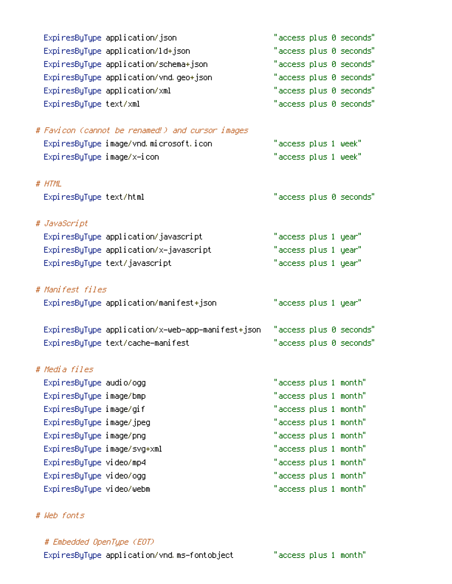|                             | ExpiresByType application/json                    |                       | "access plus 0 seconds" |
|-----------------------------|---------------------------------------------------|-----------------------|-------------------------|
|                             | ExpiresByType application/ld+json                 |                       | "access plus 0 seconds" |
|                             | ExpiresByType application/schema+json             |                       | "access plus 0 seconds" |
|                             | ExpiresByType application/vnd.geo+json            |                       | "access plus 0 seconds" |
|                             | ExpiresByType application/xml                     |                       | "access plus 0 seconds" |
| ExpiresByType text/xml      |                                                   |                       | "access plus 0 seconds" |
|                             |                                                   |                       |                         |
|                             | # Favicon (cannot be renamed!) and cursor images  |                       |                         |
|                             | ExpiresByType image/vnd.microsoft.icon            | "access plus 1 week"  |                         |
| ExpiresByType image/x-icon  |                                                   | "access plus 1 week"  |                         |
|                             |                                                   |                       |                         |
| # HTML                      |                                                   |                       |                         |
| ExpiresByType text/html     |                                                   |                       | "access plus 0 seconds" |
|                             |                                                   |                       |                         |
| # JavaScript                |                                                   |                       |                         |
|                             | ExpiresByType application/javascript              | "access plus 1 year"  |                         |
|                             | ExpiresByType application/x-javascript            | "access plus 1 year"  |                         |
|                             | ExpiresByType text/javascript                     | "access plus 1 year"  |                         |
| # Manifest files            |                                                   |                       |                         |
|                             |                                                   |                       |                         |
|                             | ExpiresByType application/manifest+json           | "access plus 1 year"  |                         |
|                             | ExpiresByType application/x-web-app-manifest+json |                       | "access plus 0 seconds" |
|                             | ExpiresByType text/cache-manifest                 |                       | "access plus 0 seconds" |
|                             |                                                   |                       |                         |
| # Media files               |                                                   |                       |                         |
| Expi resByType audio/ogg    |                                                   | "access plus 1 month" |                         |
| ExpiresByType image/bmp     |                                                   | "access plus 1 month" |                         |
| ExpiresByType image/gif     |                                                   | "access plus 1 month" |                         |
| ExpiresByType image/jpeg    |                                                   | "access plus 1 month" |                         |
| ExpiresByType image/png     |                                                   | "access plus 1 month" |                         |
| ExpiresByType image/svg+xml |                                                   | "access plus 1 month" |                         |
| ExpiresByType video/mp4     |                                                   | "access plus 1 month" |                         |
| ExpiresByType video/ogg     |                                                   | "access plus 1 month" |                         |
| ExpiresByType video/webm    |                                                   | "access plus 1 month" |                         |
|                             |                                                   |                       |                         |

# # Web fonts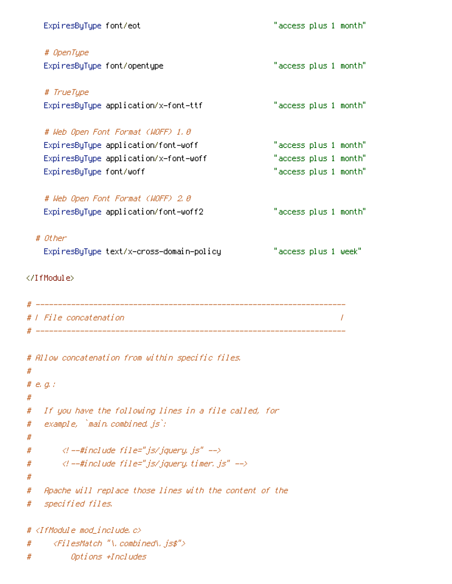|             | ExpiresByType font/eot                                                                | "access plus 1 month" |  |  |
|-------------|---------------------------------------------------------------------------------------|-----------------------|--|--|
|             | # OpenType                                                                            |                       |  |  |
|             | ExpiresByType font/opentype                                                           | "access plus 1 month" |  |  |
|             | # TrueType                                                                            |                       |  |  |
|             | ExpiresByType application/x-font-ttf                                                  | "access plus 1 month" |  |  |
|             | # Web Open Font Format (WOFF) 1.0                                                     |                       |  |  |
|             | ExpiresByType application/font-woff                                                   | "access plus 1 month" |  |  |
|             | ExpiresByType application/x-font-woff                                                 | "access plus 1 month" |  |  |
|             | ExpiresByType font/woff                                                               | "access plus 1 month" |  |  |
|             | # Web Open Font Format (WOFF) 2.0                                                     |                       |  |  |
|             | ExpiresByType application/font-woff2                                                  | "access plus 1 month" |  |  |
|             | # Other                                                                               |                       |  |  |
|             | ExpiresByType text/x-cross-domain-policy                                              | "access plus 1 week"  |  |  |
|             | #   File concatenation                                                                |                       |  |  |
| #           | # Allow concatenation from within specific files.                                     |                       |  |  |
| #           | # $e$ , $q$ , $'$                                                                     |                       |  |  |
| #<br>#<br># | If you have the following lines in a file called, for<br>example, `main.combined.js`; |                       |  |  |
| #           | $\langle$ l --#include file="js/jquery, js" -->                                       |                       |  |  |
| #           | $\langle l$ --#include file="js/jquery.timer.js" -->                                  |                       |  |  |
| #<br>#      | Apache will replace those lines with the content of the                               |                       |  |  |
| #           | specified files.                                                                      |                       |  |  |
|             | # <ifmodule mod_include.c=""></ifmodule>                                              |                       |  |  |
| #           | <filesmatch "\.combined\.js\$"=""></filesmatch>                                       |                       |  |  |
| #           | Options +Includes                                                                     |                       |  |  |